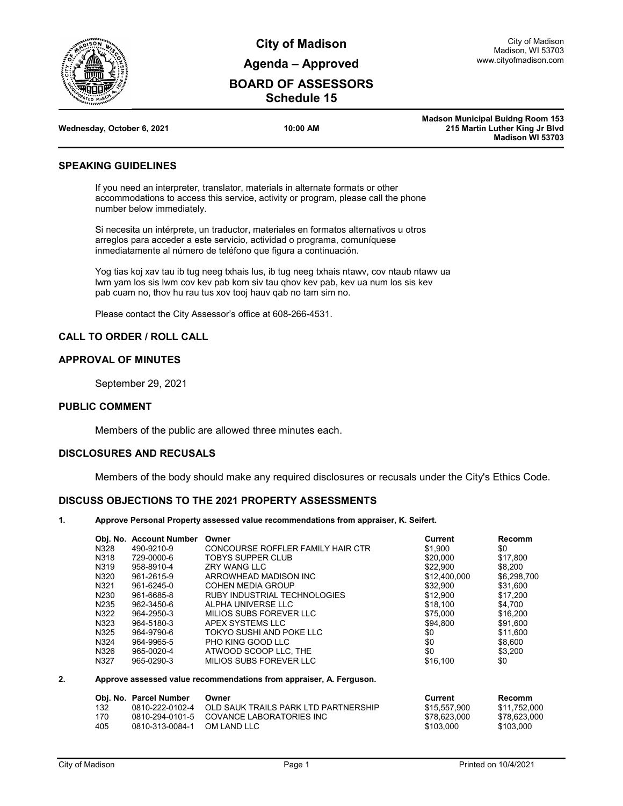

**City of Madison Agenda – Approved**

# **BOARD OF ASSESSORS Schedule 15**

|                            |          | <b>Madson Municipal Buidng Room 153</b> |
|----------------------------|----------|-----------------------------------------|
| Wednesday, October 6, 2021 | 10:00 AM | 215 Martin Luther King Jr Blyd          |
|                            |          | Madison WI 53703                        |

#### **SPEAKING GUIDELINES**

If you need an interpreter, translator, materials in alternate formats or other accommodations to access this service, activity or program, please call the phone number below immediately.

Si necesita un intérprete, un traductor, materiales en formatos alternativos u otros arreglos para acceder a este servicio, actividad o programa, comuníquese inmediatamente al número de teléfono que figura a continuación.

Yog tias koj xav tau ib tug neeg txhais lus, ib tug neeg txhais ntawv, cov ntaub ntawv ua lwm yam los sis lwm cov kev pab kom siv tau qhov kev pab, kev ua num los sis kev pab cuam no, thov hu rau tus xov tooj hauv qab no tam sim no.

Please contact the City Assessor's office at 608-266-4531.

### **CALL TO ORDER / ROLL CALL**

#### **APPROVAL OF MINUTES**

September 29, 2021

#### **PUBLIC COMMENT**

Members of the public are allowed three minutes each.

### **DISCLOSURES AND RECUSALS**

Members of the body should make any required disclosures or recusals under the City's Ethics Code.

### **DISCUSS OBJECTIONS TO THE 2021 PROPERTY ASSESSMENTS**

**1. Approve Personal Property assessed value recommendations from appraiser, K. Seifert.**

|                   | Obj. No. Account Number | Owner                                                               | Current        | <b>Recomm</b> |
|-------------------|-------------------------|---------------------------------------------------------------------|----------------|---------------|
| N328              | 490-9210-9              | CONCOURSE ROFFLER FAMILY HAIR CTR                                   | \$1.900        | \$0           |
| N318              | 729-0000-6              | TOBYS SUPPER CLUB                                                   | \$20,000       | \$17,800      |
| N319              | 958-8910-4              | <b>ZRY WANG LLC</b>                                                 | \$22,900       | \$8,200       |
| N320              | 961-2615-9              | ARROWHEAD MADISON INC                                               | \$12,400,000   | \$6,298,700   |
| N321              | 961-6245-0              | <b>COHEN MEDIA GROUP</b>                                            | \$32,900       | \$31,600      |
| N <sub>2</sub> 30 | 961-6685-8              | RUBY INDUSTRIAL TECHNOLOGIES                                        | \$12,900       | \$17,200      |
| N <sub>2</sub> 35 | 962-3450-6              | ALPHA UNIVERSE LLC                                                  | \$18.100       | \$4.700       |
| N322              | 964-2950-3              | MILIOS SUBS FOREVER LLC                                             | \$75,000       | \$16,200      |
| N323              | 964-5180-3              | APEX SYSTEMS LLC                                                    | \$94.800       | \$91.600      |
| N325              | 964-9790-6              | TOKYO SUSHI AND POKE LLC                                            | \$0            | \$11,600      |
| N324              | 964-9965-5              | PHO KING GOOD LLC                                                   | \$0            | \$8,600       |
| N326              | 965-0020-4              | ATWOOD SCOOP LLC, THE                                               | \$0            | \$3,200       |
| N327              | 965-0290-3              | MILIOS SUBS FOREVER LLC                                             | \$16,100       | \$0           |
|                   |                         | Approve assessed value recommendations from appraiser, A. Ferguson. |                |               |
|                   | Obj. No. Parcel Number  | Owner                                                               | <b>Current</b> | <b>Recomm</b> |
| 132               | 0810-222-0102-4         | OLD SAUK TRAILS PARK LTD PARTNERSHIP                                | \$15,557,900   | \$11,752,000  |
| 170               | 0810-294-0101-5         | COVANCE LABORATORIES INC                                            | \$78,623,000   | \$78,623,000  |

405 0810-313-0084-1 OM LAND LLC \$103,000 \$103,000